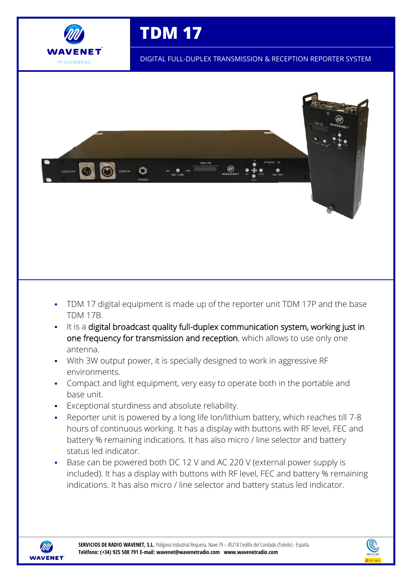

**TDM 17**

DIGITAL FULL-DUPLEX TRANSMISSION & RECEPTION REPORTER SYSTEM



- TDM 17 digital equipment is made up of the reporter unit TDM 17P and the base TDM 17B.
- It is a digital broadcast quality full-duplex communication system, working just in one frequency for transmission and reception, which allows to use only one antenna.
- With 3W output power, it is specially designed to work in aggressive RF environments.
- Compact and light equipment, very easy to operate both in the portable and base unit.
- Exceptional sturdiness and absolute reliability.
- Reporter unit is powered by a long life Ion/lithium battery, which reaches till 7-8 hours of continuous working. It has a display with buttons with RF level, FEC and battery % remaining indications. It has also micro / line selector and battery status led indicator.
- Base can be powered both DC 12 V and AC 220 V (external power supply is included). It has a display with buttons with RF level, FEC and battery % remaining indications. It has also micro / line selector and battery status led indicator.